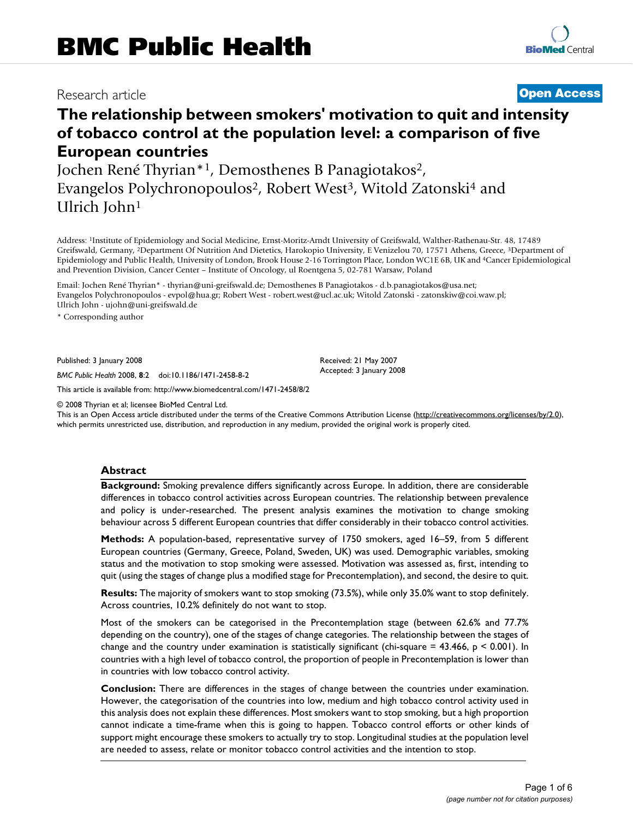# Research article **[Open Access](http://www.biomedcentral.com/info/about/charter/)**

# **The relationship between smokers' motivation to quit and intensity of tobacco control at the population level: a comparison of five European countries**

Jochen René Thyrian\*1, Demosthenes B Panagiotakos2, Evangelos Polychronopoulos<sup>2</sup>, Robert West<sup>3</sup>, Witold Zatonski<sup>4</sup> and Ulrich John1

Address: 1Institute of Epidemiology and Social Medicine, Ernst-Moritz-Arndt University of Greifswald, Walther-Rathenau-Str. 48, 17489 Greifswald, Germany, 2Department Of Nutrition And Dietetics, Harokopio University, E Venizelou 70, 17571 Athens, Greece, 3Department of Epidemiology and Public Health, University of London, Brook House 2-16 Torrington Place, London WC1E 6B, UK and 4Cancer Epidemiological and Prevention Division, Cancer Center – Institute of Oncology, ul Roentgena 5, 02-781 Warsaw, Poland

Email: Jochen René Thyrian\* - thyrian@uni-greifswald.de; Demosthenes B Panagiotakos - d.b.panagiotakos@usa.net; Evangelos Polychronopoulos - evpol@hua.gr; Robert West - robert.west@ucl.ac.uk; Witold Zatonski - zatonskiw@coi.waw.pl; Ulrich John - ujohn@uni-greifswald.de

\* Corresponding author

Published: 3 January 2008

*BMC Public Health* 2008, **8**:2 doi:10.1186/1471-2458-8-2

[This article is available from: http://www.biomedcentral.com/1471-2458/8/2](http://www.biomedcentral.com/1471-2458/8/2)

© 2008 Thyrian et al; licensee BioMed Central Ltd.

This is an Open Access article distributed under the terms of the Creative Commons Attribution License [\(http://creativecommons.org/licenses/by/2.0\)](http://creativecommons.org/licenses/by/2.0), which permits unrestricted use, distribution, and reproduction in any medium, provided the original work is properly cited.

Received: 21 May 2007 Accepted: 3 January 2008

#### **Abstract**

**Background:** Smoking prevalence differs significantly across Europe. In addition, there are considerable differences in tobacco control activities across European countries. The relationship between prevalence and policy is under-researched. The present analysis examines the motivation to change smoking behaviour across 5 different European countries that differ considerably in their tobacco control activities.

**Methods:** A population-based, representative survey of 1750 smokers, aged 16–59, from 5 different European countries (Germany, Greece, Poland, Sweden, UK) was used. Demographic variables, smoking status and the motivation to stop smoking were assessed. Motivation was assessed as, first, intending to quit (using the stages of change plus a modified stage for Precontemplation), and second, the desire to quit.

**Results:** The majority of smokers want to stop smoking (73.5%), while only 35.0% want to stop definitely. Across countries, 10.2% definitely do not want to stop.

Most of the smokers can be categorised in the Precontemplation stage (between 62.6% and 77.7% depending on the country), one of the stages of change categories. The relationship between the stages of change and the country under examination is statistically significant (chi-square  $= 43.466$ ,  $p \le 0.001$ ). In countries with a high level of tobacco control, the proportion of people in Precontemplation is lower than in countries with low tobacco control activity.

**Conclusion:** There are differences in the stages of change between the countries under examination. However, the categorisation of the countries into low, medium and high tobacco control activity used in this analysis does not explain these differences. Most smokers want to stop smoking, but a high proportion cannot indicate a time-frame when this is going to happen. Tobacco control efforts or other kinds of support might encourage these smokers to actually try to stop. Longitudinal studies at the population level are needed to assess, relate or monitor tobacco control activities and the intention to stop.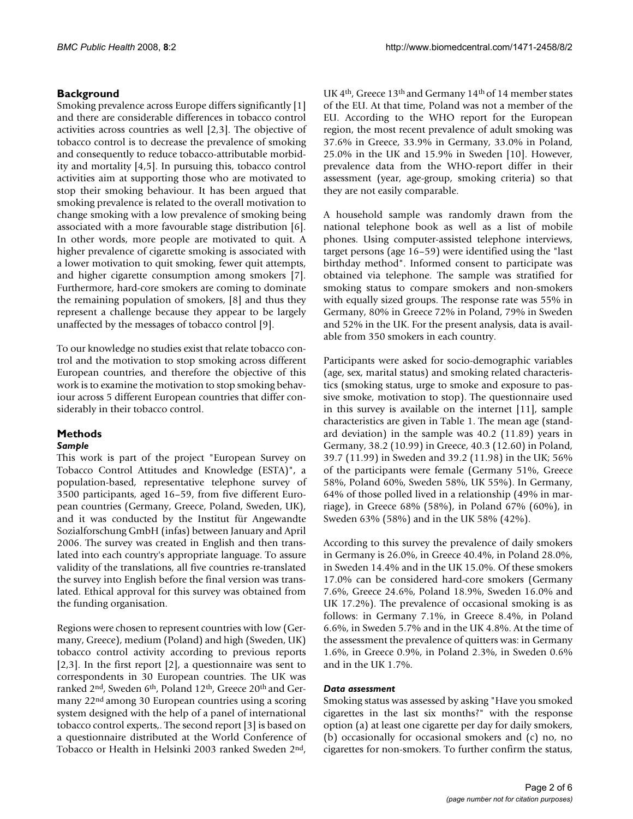# **Background**

Smoking prevalence across Europe differs significantly [1] and there are considerable differences in tobacco control activities across countries as well [2,3]. The objective of tobacco control is to decrease the prevalence of smoking and consequently to reduce tobacco-attributable morbidity and mortality [4,5]. In pursuing this, tobacco control activities aim at supporting those who are motivated to stop their smoking behaviour. It has been argued that smoking prevalence is related to the overall motivation to change smoking with a low prevalence of smoking being associated with a more favourable stage distribution [6]. In other words, more people are motivated to quit. A higher prevalence of cigarette smoking is associated with a lower motivation to quit smoking, fewer quit attempts, and higher cigarette consumption among smokers [7]. Furthermore, hard-core smokers are coming to dominate the remaining population of smokers, [8] and thus they represent a challenge because they appear to be largely unaffected by the messages of tobacco control [9].

To our knowledge no studies exist that relate tobacco control and the motivation to stop smoking across different European countries, and therefore the objective of this work is to examine the motivation to stop smoking behaviour across 5 different European countries that differ considerably in their tobacco control.

# **Methods**

# *Sample*

This work is part of the project "European Survey on Tobacco Control Attitudes and Knowledge (ESTA)", a population-based, representative telephone survey of 3500 participants, aged 16–59, from five different European countries (Germany, Greece, Poland, Sweden, UK), and it was conducted by the Institut für Angewandte Sozialforschung GmbH (infas) between January and April 2006. The survey was created in English and then translated into each country's appropriate language. To assure validity of the translations, all five countries re-translated the survey into English before the final version was translated. Ethical approval for this survey was obtained from the funding organisation.

Regions were chosen to represent countries with low (Germany, Greece), medium (Poland) and high (Sweden, UK) tobacco control activity according to previous reports [2,3]. In the first report [2], a questionnaire was sent to correspondents in 30 European countries. The UK was ranked 2<sup>nd</sup>, Sweden 6<sup>th</sup>, Poland 12<sup>th</sup>, Greece 20<sup>th</sup> and Germany 22nd among 30 European countries using a scoring system designed with the help of a panel of international tobacco control experts,. The second report [3] is based on a questionnaire distributed at the World Conference of Tobacco or Health in Helsinki 2003 ranked Sweden 2nd,

UK 4th, Greece 13th and Germany 14th of 14 member states of the EU. At that time, Poland was not a member of the EU. According to the WHO report for the European region, the most recent prevalence of adult smoking was 37.6% in Greece, 33.9% in Germany, 33.0% in Poland, 25.0% in the UK and 15.9% in Sweden [10]. However, prevalence data from the WHO-report differ in their assessment (year, age-group, smoking criteria) so that they are not easily comparable.

A household sample was randomly drawn from the national telephone book as well as a list of mobile phones. Using computer-assisted telephone interviews, target persons (age 16–59) were identified using the "last birthday method". Informed consent to participate was obtained via telephone. The sample was stratified for smoking status to compare smokers and non-smokers with equally sized groups. The response rate was 55% in Germany, 80% in Greece 72% in Poland, 79% in Sweden and 52% in the UK. For the present analysis, data is available from 350 smokers in each country.

Participants were asked for socio-demographic variables (age, sex, marital status) and smoking related characteristics (smoking status, urge to smoke and exposure to passive smoke, motivation to stop). The questionnaire used in this survey is available on the internet [11], sample characteristics are given in Table 1. The mean age (standard deviation) in the sample was 40.2 (11.89) years in Germany, 38.2 (10.99) in Greece, 40.3 (12.60) in Poland, 39.7 (11.99) in Sweden and 39.2 (11.98) in the UK; 56% of the participants were female (Germany 51%, Greece 58%, Poland 60%, Sweden 58%, UK 55%). In Germany, 64% of those polled lived in a relationship (49% in marriage), in Greece 68% (58%), in Poland 67% (60%), in Sweden 63% (58%) and in the UK 58% (42%).

According to this survey the prevalence of daily smokers in Germany is 26.0%, in Greece 40.4%, in Poland 28.0%, in Sweden 14.4% and in the UK 15.0%. Of these smokers 17.0% can be considered hard-core smokers (Germany 7.6%, Greece 24.6%, Poland 18.9%, Sweden 16.0% and UK 17.2%). The prevalence of occasional smoking is as follows: in Germany 7.1%, in Greece 8.4%, in Poland 6.6%, in Sweden 5.7% and in the UK 4.8%. At the time of the assessment the prevalence of quitters was: in Germany 1.6%, in Greece 0.9%, in Poland 2.3%, in Sweden 0.6% and in the UK 1.7%.

# *Data assessment*

Smoking status was assessed by asking "Have you smoked cigarettes in the last six months?" with the response option (a) at least one cigarette per day for daily smokers, (b) occasionally for occasional smokers and (c) no, no cigarettes for non-smokers. To further confirm the status,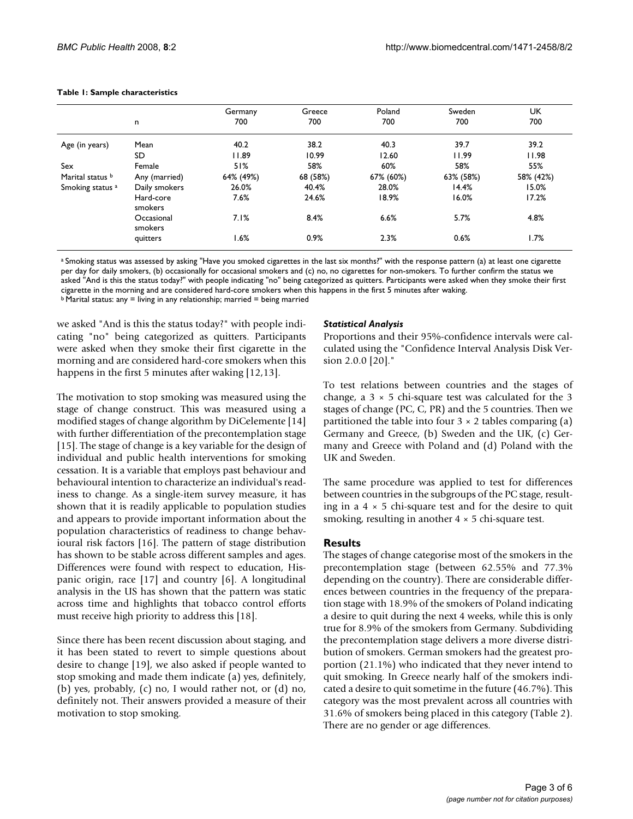|                  |                       | Germany   | Greece   | Poland    | Sweden    | <b>UK</b> |
|------------------|-----------------------|-----------|----------|-----------|-----------|-----------|
|                  | n                     | 700       | 700      | 700       | 700       | 700       |
| Age (in years)   | Mean                  | 40.2      | 38.2     | 40.3      | 39.7      | 39.2      |
|                  | SD.                   | 11.89     | 10.99    | 12.60     | 11.99     | 11.98     |
| Sex              | Female                | 51%       | 58%      | 60%       | 58%       | 55%       |
| Marital status b | Any (married)         | 64% (49%) | 68 (58%) | 67% (60%) | 63% (58%) | 58% (42%) |
| Smoking status a | Daily smokers         | 26.0%     | 40.4%    | 28.0%     | 14.4%     | 15.0%     |
|                  | Hard-core<br>smokers  | 7.6%      | 24.6%    | 18.9%     | 16.0%     | 17.2%     |
|                  | Occasional<br>smokers | 7.1%      | 8.4%     | 6.6%      | 5.7%      | 4.8%      |
|                  | quitters              | 6%.       | 0.9%     | 2.3%      | 0.6%      | 1.7%      |

#### **Table 1: Sample characteristics**

a Smoking status was assessed by asking "Have you smoked cigarettes in the last six months?" with the response pattern (a) at least one cigarette per day for daily smokers, (b) occasionally for occasional smokers and (c) no, no cigarettes for non-smokers. To further confirm the status we asked "And is this the status today?" with people indicating "no" being categorized as quitters. Participants were asked when they smoke their first cigarette in the morning and are considered hard-core smokers when this happens in the first 5 minutes after waking.

 $<sup>b</sup>$  Marital status: any = living in any relationship; married = being married</sup>

we asked "And is this the status today?" with people indicating "no" being categorized as quitters. Participants were asked when they smoke their first cigarette in the morning and are considered hard-core smokers when this happens in the first 5 minutes after waking [12,13].

The motivation to stop smoking was measured using the stage of change construct. This was measured using a modified stages of change algorithm by DiCelemente [14] with further differentiation of the precontemplation stage [15]. The stage of change is a key variable for the design of individual and public health interventions for smoking cessation. It is a variable that employs past behaviour and behavioural intention to characterize an individual's readiness to change. As a single-item survey measure, it has shown that it is readily applicable to population studies and appears to provide important information about the population characteristics of readiness to change behavioural risk factors [16]. The pattern of stage distribution has shown to be stable across different samples and ages. Differences were found with respect to education, Hispanic origin, race [17] and country [6]. A longitudinal analysis in the US has shown that the pattern was static across time and highlights that tobacco control efforts must receive high priority to address this [18].

Since there has been recent discussion about staging, and it has been stated to revert to simple questions about desire to change [19], we also asked if people wanted to stop smoking and made them indicate (a) yes, definitely, (b) yes, probably, (c) no, I would rather not, or (d) no, definitely not. Their answers provided a measure of their motivation to stop smoking.

#### *Statistical Analysis*

Proportions and their 95%-confidence intervals were calculated using the "Confidence Interval Analysis Disk Version 2.0.0 [20]."

To test relations between countries and the stages of change, a  $3 \times 5$  chi-square test was calculated for the 3 stages of change (PC, C, PR) and the 5 countries. Then we partitioned the table into four  $3 \times 2$  tables comparing (a) Germany and Greece, (b) Sweden and the UK, (c) Germany and Greece with Poland and (d) Poland with the UK and Sweden.

The same procedure was applied to test for differences between countries in the subgroups of the PC stage, resulting in a  $4 \times 5$  chi-square test and for the desire to quit smoking, resulting in another  $4 \times 5$  chi-square test.

### **Results**

The stages of change categorise most of the smokers in the precontemplation stage (between 62.55% and 77.3% depending on the country). There are considerable differences between countries in the frequency of the preparation stage with 18.9% of the smokers of Poland indicating a desire to quit during the next 4 weeks, while this is only true for 8.9% of the smokers from Germany. Subdividing the precontemplation stage delivers a more diverse distribution of smokers. German smokers had the greatest proportion (21.1%) who indicated that they never intend to quit smoking. In Greece nearly half of the smokers indicated a desire to quit sometime in the future (46.7%). This category was the most prevalent across all countries with 31.6% of smokers being placed in this category (Table 2). There are no gender or age differences.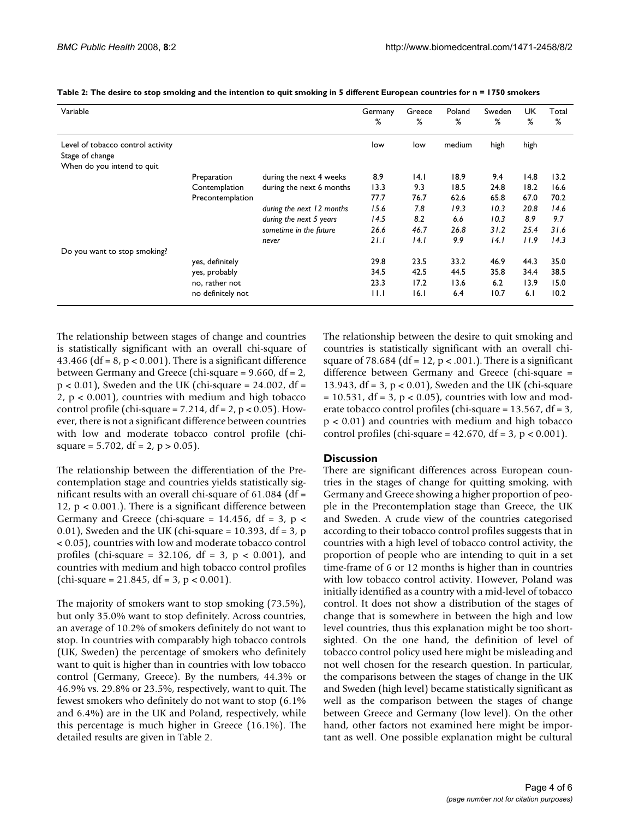| Variable                                             |                   |                           | Germany | Greece | Poland | Sweden | <b>UK</b> | Total |
|------------------------------------------------------|-------------------|---------------------------|---------|--------|--------|--------|-----------|-------|
|                                                      |                   |                           | %       | %      | %      | %      | %         | %     |
| Level of tobacco control activity<br>Stage of change |                   |                           | low     | low    | medium | high   | high      |       |
| When do you intend to quit                           |                   |                           |         |        |        |        |           |       |
|                                                      | Preparation       | during the next 4 weeks   | 8.9     | 14.I   | 18.9   | 9.4    | 14.8      | 13.2  |
|                                                      | Contemplation     | during the next 6 months  | 13.3    | 9.3    | 18.5   | 24.8   | 18.2      | 16.6  |
|                                                      | Precontemplation  |                           | 77.7    | 76.7   | 62.6   | 65.8   | 67.0      | 70.2  |
|                                                      |                   | during the next 12 months | 15.6    | 7.8    | 19.3   | 10.3   | 20.8      | 14.6  |
|                                                      |                   | during the next 5 years   | 14.5    | 8.2    | 6.6    | 10.3   | 8.9       | 9.7   |
|                                                      |                   | sometime in the future    | 26.6    | 46.7   | 26.8   | 31.2   | 25.4      | 31.6  |
|                                                      |                   | never                     | 2 I.I   | 4      | 9.9    | 14. I  | 11.9      | 14.3  |
| Do you want to stop smoking?                         |                   |                           |         |        |        |        |           |       |
|                                                      | yes, definitely   |                           | 29.8    | 23.5   | 33.2   | 46.9   | 44.3      | 35.0  |
|                                                      | yes, probably     |                           | 34.5    | 42.5   | 44.5   | 35.8   | 34.4      | 38.5  |
|                                                      | no, rather not    |                           | 23.3    | 17.2   | 13.6   | 6.2    | 13.9      | 15.0  |
|                                                      | no definitely not |                           | 11.1    | 16.1   | 6.4    | 10.7   | 6.1       | 10.2  |

| Table 2: The desire to stop smoking and the intention to quit smoking in 5 different European countries for n = 1750 smokers |  |  |
|------------------------------------------------------------------------------------------------------------------------------|--|--|
|------------------------------------------------------------------------------------------------------------------------------|--|--|

The relationship between stages of change and countries is statistically significant with an overall chi-square of 43.466 (df =  $8$ , p < 0.001). There is a significant difference between Germany and Greece (chi-square = 9.660, df = 2,  $p < 0.01$ ), Sweden and the UK (chi-square = 24.002, df =  $2$ ,  $p < 0.001$ ), countries with medium and high tobacco control profile (chi-square =  $7.214$ , df =  $2$ , p < 0.05). However, there is not a significant difference between countries with low and moderate tobacco control profile (chisquare =  $5.702$ , df =  $2$ , p >  $0.05$ ).

The relationship between the differentiation of the Precontemplation stage and countries yields statistically significant results with an overall chi-square of 61.084 (df = 12, p < 0.001.). There is a significant difference between Germany and Greece (chi-square = 14.456, df = 3,  $p$  < 0.01), Sweden and the UK (chi-square =  $10.393$ , df =  $3$ , p < 0.05), countries with low and moderate tobacco control profiles (chi-square =  $32.106$ , df =  $3$ , p < 0.001), and countries with medium and high tobacco control profiles  $\text{(chi-square} = 21.845, \text{ df} = 3, \text{ p} < 0.001).$ 

The majority of smokers want to stop smoking (73.5%), but only 35.0% want to stop definitely. Across countries, an average of 10.2% of smokers definitely do not want to stop. In countries with comparably high tobacco controls (UK, Sweden) the percentage of smokers who definitely want to quit is higher than in countries with low tobacco control (Germany, Greece). By the numbers, 44.3% or 46.9% vs. 29.8% or 23.5%, respectively, want to quit. The fewest smokers who definitely do not want to stop (6.1% and 6.4%) are in the UK and Poland, respectively, while this percentage is much higher in Greece (16.1%). The detailed results are given in Table 2.

The relationship between the desire to quit smoking and countries is statistically significant with an overall chisquare of 78.684 (df = 12,  $p < .001$ ). There is a significant difference between Germany and Greece (chi-square = 13.943, df = 3, p < 0.01), Sweden and the UK (chi-square  $= 10.531$ , df  $= 3$ , p  $< 0.05$ ), countries with low and moderate tobacco control profiles (chi-square = 13.567, df = 3, p < 0.01) and countries with medium and high tobacco control profiles (chi-square =  $42.670$ , df =  $3$ , p <  $0.001$ ).

# **Discussion**

There are significant differences across European countries in the stages of change for quitting smoking, with Germany and Greece showing a higher proportion of people in the Precontemplation stage than Greece, the UK and Sweden. A crude view of the countries categorised according to their tobacco control profiles suggests that in countries with a high level of tobacco control activity, the proportion of people who are intending to quit in a set time-frame of 6 or 12 months is higher than in countries with low tobacco control activity. However, Poland was initially identified as a country with a mid-level of tobacco control. It does not show a distribution of the stages of change that is somewhere in between the high and low level countries, thus this explanation might be too shortsighted. On the one hand, the definition of level of tobacco control policy used here might be misleading and not well chosen for the research question. In particular, the comparisons between the stages of change in the UK and Sweden (high level) became statistically significant as well as the comparison between the stages of change between Greece and Germany (low level). On the other hand, other factors not examined here might be important as well. One possible explanation might be cultural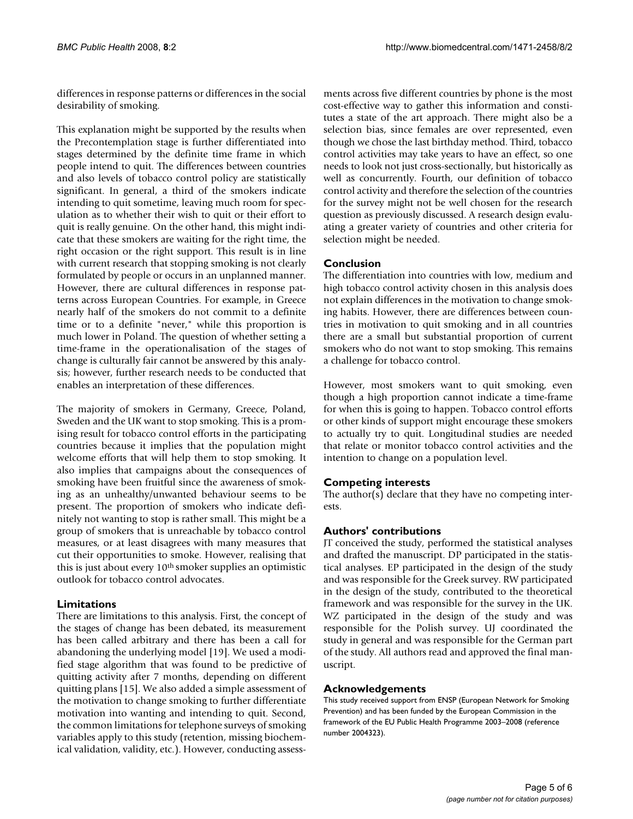differences in response patterns or differences in the social desirability of smoking.

This explanation might be supported by the results when the Precontemplation stage is further differentiated into stages determined by the definite time frame in which people intend to quit. The differences between countries and also levels of tobacco control policy are statistically significant. In general, a third of the smokers indicate intending to quit sometime, leaving much room for speculation as to whether their wish to quit or their effort to quit is really genuine. On the other hand, this might indicate that these smokers are waiting for the right time, the right occasion or the right support. This result is in line with current research that stopping smoking is not clearly formulated by people or occurs in an unplanned manner. However, there are cultural differences in response patterns across European Countries. For example, in Greece nearly half of the smokers do not commit to a definite time or to a definite "never," while this proportion is much lower in Poland. The question of whether setting a time-frame in the operationalisation of the stages of change is culturally fair cannot be answered by this analysis; however, further research needs to be conducted that enables an interpretation of these differences.

The majority of smokers in Germany, Greece, Poland, Sweden and the UK want to stop smoking. This is a promising result for tobacco control efforts in the participating countries because it implies that the population might welcome efforts that will help them to stop smoking. It also implies that campaigns about the consequences of smoking have been fruitful since the awareness of smoking as an unhealthy/unwanted behaviour seems to be present. The proportion of smokers who indicate definitely not wanting to stop is rather small. This might be a group of smokers that is unreachable by tobacco control measures, or at least disagrees with many measures that cut their opportunities to smoke. However, realising that this is just about every 10th smoker supplies an optimistic outlook for tobacco control advocates.

# **Limitations**

There are limitations to this analysis. First, the concept of the stages of change has been debated, its measurement has been called arbitrary and there has been a call for abandoning the underlying model [19]. We used a modified stage algorithm that was found to be predictive of quitting activity after 7 months, depending on different quitting plans [15]. We also added a simple assessment of the motivation to change smoking to further differentiate motivation into wanting and intending to quit. Second, the common limitations for telephone surveys of smoking variables apply to this study (retention, missing biochemical validation, validity, etc.). However, conducting assessments across five different countries by phone is the most cost-effective way to gather this information and constitutes a state of the art approach. There might also be a selection bias, since females are over represented, even though we chose the last birthday method. Third, tobacco control activities may take years to have an effect, so one needs to look not just cross-sectionally, but historically as well as concurrently. Fourth, our definition of tobacco control activity and therefore the selection of the countries for the survey might not be well chosen for the research question as previously discussed. A research design evaluating a greater variety of countries and other criteria for selection might be needed.

# **Conclusion**

The differentiation into countries with low, medium and high tobacco control activity chosen in this analysis does not explain differences in the motivation to change smoking habits. However, there are differences between countries in motivation to quit smoking and in all countries there are a small but substantial proportion of current smokers who do not want to stop smoking. This remains a challenge for tobacco control.

However, most smokers want to quit smoking, even though a high proportion cannot indicate a time-frame for when this is going to happen. Tobacco control efforts or other kinds of support might encourage these smokers to actually try to quit. Longitudinal studies are needed that relate or monitor tobacco control activities and the intention to change on a population level.

# **Competing interests**

The author( $\overline{s}$ ) declare that they have no competing interests.

# **Authors' contributions**

JT conceived the study, performed the statistical analyses and drafted the manuscript. DP participated in the statistical analyses. EP participated in the design of the study and was responsible for the Greek survey. RW participated in the design of the study, contributed to the theoretical framework and was responsible for the survey in the UK. WZ participated in the design of the study and was responsible for the Polish survey. UJ coordinated the study in general and was responsible for the German part of the study. All authors read and approved the final manuscript.

# **Acknowledgements**

This study received support from ENSP (European Network for Smoking Prevention) and has been funded by the European Commission in the framework of the EU Public Health Programme 2003–2008 (reference number 2004323).